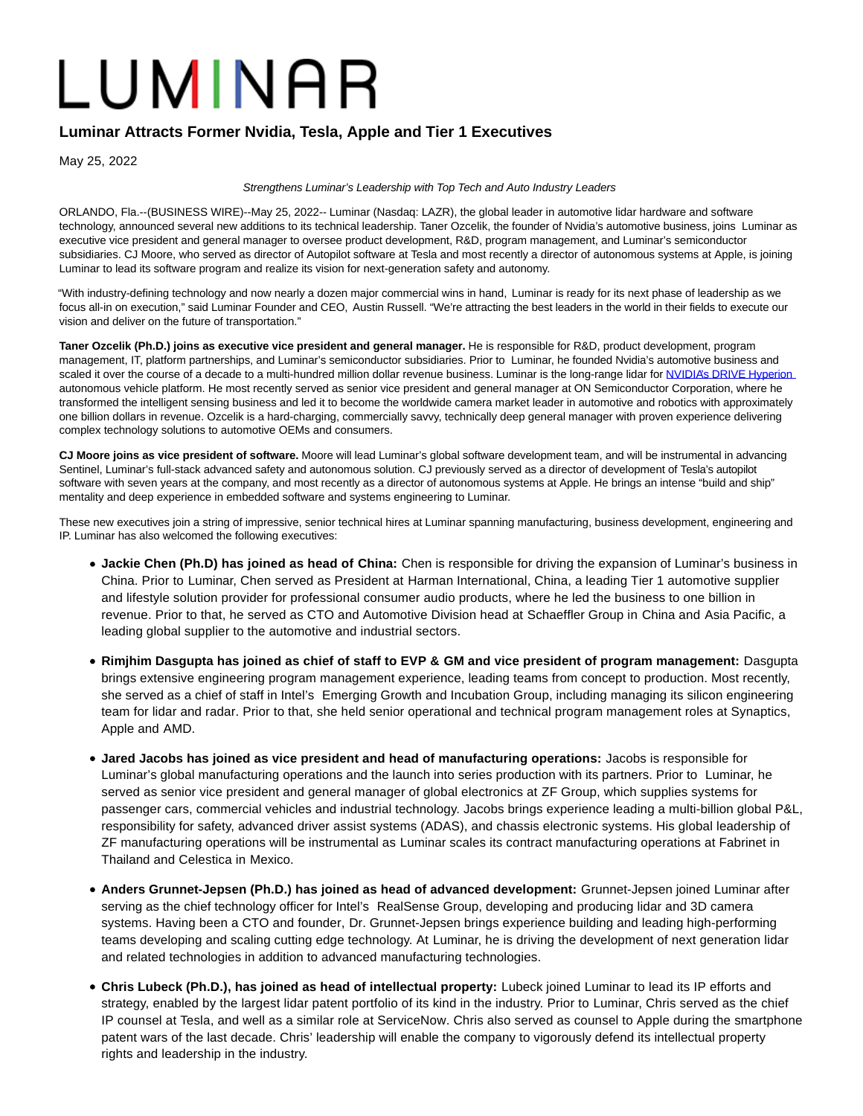## LUMINAR

## **Luminar Attracts Former Nvidia, Tesla, Apple and Tier 1 Executives**

May 25, 2022

## Strengthens Luminar's Leadership with Top Tech and Auto Industry Leaders

ORLANDO, Fla.--(BUSINESS WIRE)--May 25, 2022-- Luminar (Nasdaq: LAZR), the global leader in automotive lidar hardware and software technology, announced several new additions to its technical leadership. Taner Ozcelik, the founder of Nvidia's automotive business, joins Luminar as executive vice president and general manager to oversee product development, R&D, program management, and Luminar's semiconductor subsidiaries. CJ Moore, who served as director of Autopilot software at Tesla and most recently a director of autonomous systems at Apple, is joining Luminar to lead its software program and realize its vision for next-generation safety and autonomy.

"With industry-defining technology and now nearly a dozen major commercial wins in hand, Luminar is ready for its next phase of leadership as we focus all-in on execution," said Luminar Founder and CEO, Austin Russell. "We're attracting the best leaders in the world in their fields to execute our vision and deliver on the future of transportation."

**Taner Ozcelik (Ph.D.) joins as executive vice president and general manager.** He is responsible for R&D, product development, program management, IT, platform partnerships, and Luminar's semiconductor subsidiaries. Prior to Luminar, he founded Nvidia's automotive business and scaled it over the course of a decade to a multi-hundred million dollar revenue business. Luminar is the long-range lidar for [NVIDIA's DRIVE Hyperion](https://cts.businesswire.com/ct/CT?id=smartlink&url=https%3A%2F%2Fwww.luminartech.com%2Fluminar-lidar-selected-for-nvidia-drive-hyperion-autonomous-vehicle-reference-platform%2F&esheet=52730964&newsitemid=20220525005753&lan=en-US&anchor=NVIDIA%26%238217%3Bs+DRIVE+Hyperion&index=1&md5=10c000a18d1d73408ee5392c73716fef). autonomous vehicle platform. He most recently served as senior vice president and general manager at ON Semiconductor Corporation, where he transformed the intelligent sensing business and led it to become the worldwide camera market leader in automotive and robotics with approximately one billion dollars in revenue. Ozcelik is a hard-charging, commercially savvy, technically deep general manager with proven experience delivering complex technology solutions to automotive OEMs and consumers.

**CJ Moore joins as vice president of software.** Moore will lead Luminar's global software development team, and will be instrumental in advancing Sentinel, Luminar's full-stack advanced safety and autonomous solution. CJ previously served as a director of development of Tesla's autopilot software with seven years at the company, and most recently as a director of autonomous systems at Apple. He brings an intense "build and ship" mentality and deep experience in embedded software and systems engineering to Luminar.

These new executives join a string of impressive, senior technical hires at Luminar spanning manufacturing, business development, engineering and IP. Luminar has also welcomed the following executives:

- **Jackie Chen (Ph.D) has joined as head of China:** Chen is responsible for driving the expansion of Luminar's business in China. Prior to Luminar, Chen served as President at Harman International, China, a leading Tier 1 automotive supplier and lifestyle solution provider for professional consumer audio products, where he led the business to one billion in revenue. Prior to that, he served as CTO and Automotive Division head at Schaeffler Group in China and Asia Pacific, a leading global supplier to the automotive and industrial sectors.
- **Rimjhim Dasgupta has joined as chief of staff to EVP & GM and vice president of program management:** Dasgupta brings extensive engineering program management experience, leading teams from concept to production. Most recently, she served as a chief of staff in Intel's Emerging Growth and Incubation Group, including managing its silicon engineering team for lidar and radar. Prior to that, she held senior operational and technical program management roles at Synaptics, Apple and AMD.
- **Jared Jacobs has joined as vice president and head of manufacturing operations:** Jacobs is responsible for Luminar's global manufacturing operations and the launch into series production with its partners. Prior to Luminar, he served as senior vice president and general manager of global electronics at ZF Group, which supplies systems for passenger cars, commercial vehicles and industrial technology. Jacobs brings experience leading a multi-billion global P&L, responsibility for safety, advanced driver assist systems (ADAS), and chassis electronic systems. His global leadership of ZF manufacturing operations will be instrumental as Luminar scales its contract manufacturing operations at Fabrinet in Thailand and Celestica in Mexico.
- **Anders Grunnet-Jepsen (Ph.D.) has joined as head of advanced development:** Grunnet-Jepsen joined Luminar after serving as the chief technology officer for Intel's RealSense Group, developing and producing lidar and 3D camera systems. Having been a CTO and founder, Dr. Grunnet-Jepsen brings experience building and leading high-performing teams developing and scaling cutting edge technology. At Luminar, he is driving the development of next generation lidar and related technologies in addition to advanced manufacturing technologies.
- **Chris Lubeck (Ph.D.), has joined as head of intellectual property:** Lubeck joined Luminar to lead its IP efforts and strategy, enabled by the largest lidar patent portfolio of its kind in the industry. Prior to Luminar, Chris served as the chief IP counsel at Tesla, and well as a similar role at ServiceNow. Chris also served as counsel to Apple during the smartphone patent wars of the last decade. Chris' leadership will enable the company to vigorously defend its intellectual property rights and leadership in the industry.